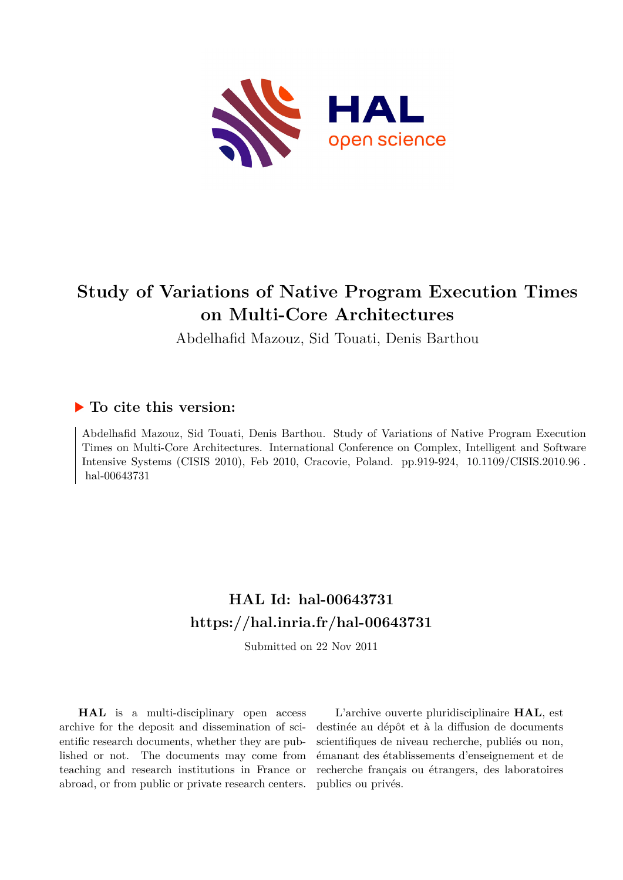

## **Study of Variations of Native Program Execution Times on Multi-Core Architectures**

Abdelhafid Mazouz, Sid Touati, Denis Barthou

### **To cite this version:**

Abdelhafid Mazouz, Sid Touati, Denis Barthou. Study of Variations of Native Program Execution Times on Multi-Core Architectures. International Conference on Complex, Intelligent and Software Intensive Systems (CISIS 2010), Feb 2010, Cracovie, Poland. pp.919-924, 10.1109/CISIS.2010.96. hal-00643731

## **HAL Id: hal-00643731 <https://hal.inria.fr/hal-00643731>**

Submitted on 22 Nov 2011

**HAL** is a multi-disciplinary open access archive for the deposit and dissemination of scientific research documents, whether they are published or not. The documents may come from teaching and research institutions in France or abroad, or from public or private research centers.

L'archive ouverte pluridisciplinaire **HAL**, est destinée au dépôt et à la diffusion de documents scientifiques de niveau recherche, publiés ou non, émanant des établissements d'enseignement et de recherche français ou étrangers, des laboratoires publics ou privés.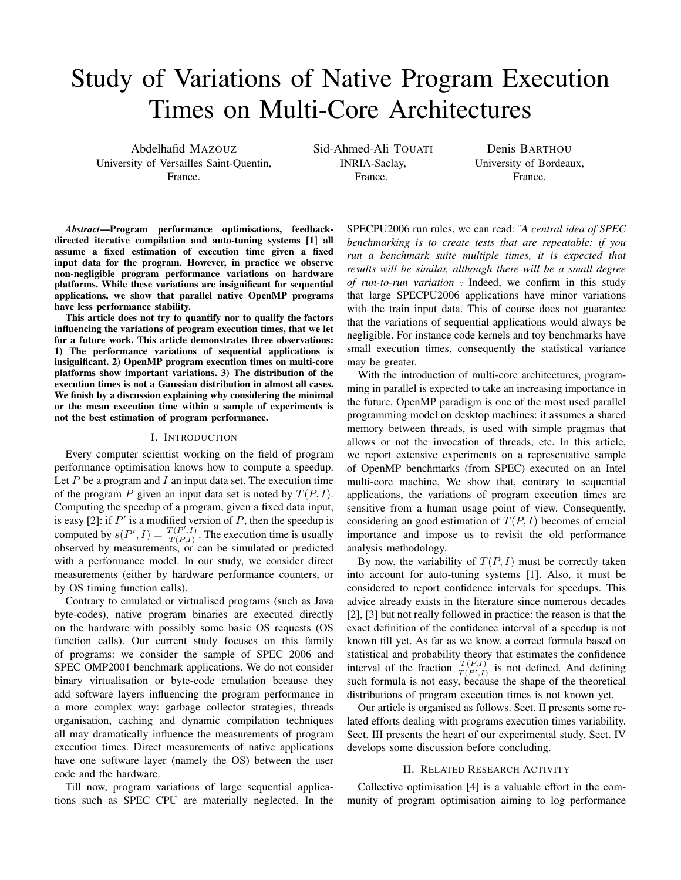# Study of Variations of Native Program Execution Times on Multi-Core Architectures

Abdelhafid MAZOUZ University of Versailles Saint-Quentin, France.

Sid-Ahmed-Ali TOUATI INRIA-Saclay, France.

Denis BARTHOU University of Bordeaux, France.

*Abstract*—Program performance optimisations, feedbackdirected iterative compilation and auto-tuning systems [1] all assume a fixed estimation of execution time given a fixed input data for the program. However, in practice we observe non-negligible program performance variations on hardware platforms. While these variations are insignificant for sequential applications, we show that parallel native OpenMP programs have less performance stability.

This article does not try to quantify nor to qualify the factors influencing the variations of program execution times, that we let for a future work. This article demonstrates three observations: 1) The performance variations of sequential applications is insignificant. 2) OpenMP program execution times on multi-core platforms show important variations. 3) The distribution of the execution times is not a Gaussian distribution in almost all cases. We finish by a discussion explaining why considering the minimal or the mean execution time within a sample of experiments is not the best estimation of program performance.

#### I. INTRODUCTION

Every computer scientist working on the field of program performance optimisation knows how to compute a speedup. Let  $P$  be a program and  $I$  an input data set. The execution time of the program P given an input data set is noted by  $T(P, I)$ . Computing the speedup of a program, given a fixed data input, is easy [2]: if  $P'$  is a modified version of  $P$ , then the speedup is computed by  $s(P', I) = \frac{T(P', I)}{T(P, I)}$  $\frac{T(P_1, I)}{T(P, I)}$ . The execution time is usually observed by measurements, or can be simulated or predicted with a performance model. In our study, we consider direct measurements (either by hardware performance counters, or by OS timing function calls).

Contrary to emulated or virtualised programs (such as Java byte-codes), native program binaries are executed directly on the hardware with possibly some basic OS requests (OS function calls). Our current study focuses on this family of programs: we consider the sample of SPEC 2006 and SPEC OMP2001 benchmark applications. We do not consider binary virtualisation or byte-code emulation because they add software layers influencing the program performance in a more complex way: garbage collector strategies, threads organisation, caching and dynamic compilation techniques all may dramatically influence the measurements of program execution times. Direct measurements of native applications have one software layer (namely the OS) between the user code and the hardware.

Till now, program variations of large sequential applications such as SPEC CPU are materially neglected. In the SPECPU2006 run rules, we can read: ¨*A central idea of SPEC benchmarking is to create tests that are repeatable: if you run a benchmark suite multiple times, it is expected that results will be similar, although there will be a small degree of run-to-run variation*  $\cdot$  Indeed, we confirm in this study that large SPECPU2006 applications have minor variations with the train input data. This of course does not guarantee that the variations of sequential applications would always be negligible. For instance code kernels and toy benchmarks have small execution times, consequently the statistical variance may be greater.

With the introduction of multi-core architectures, programming in parallel is expected to take an increasing importance in the future. OpenMP paradigm is one of the most used parallel programming model on desktop machines: it assumes a shared memory between threads, is used with simple pragmas that allows or not the invocation of threads, etc. In this article, we report extensive experiments on a representative sample of OpenMP benchmarks (from SPEC) executed on an Intel multi-core machine. We show that, contrary to sequential applications, the variations of program execution times are sensitive from a human usage point of view. Consequently, considering an good estimation of  $T(P, I)$  becomes of crucial importance and impose us to revisit the old performance analysis methodology.

By now, the variability of  $T(P, I)$  must be correctly taken into account for auto-tuning systems [1]. Also, it must be considered to report confidence intervals for speedups. This advice already exists in the literature since numerous decades [2], [3] but not really followed in practice: the reason is that the exact definition of the confidence interval of a speedup is not known till yet. As far as we know, a correct formula based on statistical and probability theory that estimates the confidence interval of the fraction  $\frac{T(P, I)}{T(P', I)}$  is not defined. And defining such formula is not easy, because the shape of the theoretical distributions of program execution times is not known yet.

Our article is organised as follows. Sect. II presents some related efforts dealing with programs execution times variability. Sect. III presents the heart of our experimental study. Sect. IV develops some discussion before concluding.

#### II. RELATED RESEARCH ACTIVITY

Collective optimisation [4] is a valuable effort in the community of program optimisation aiming to log performance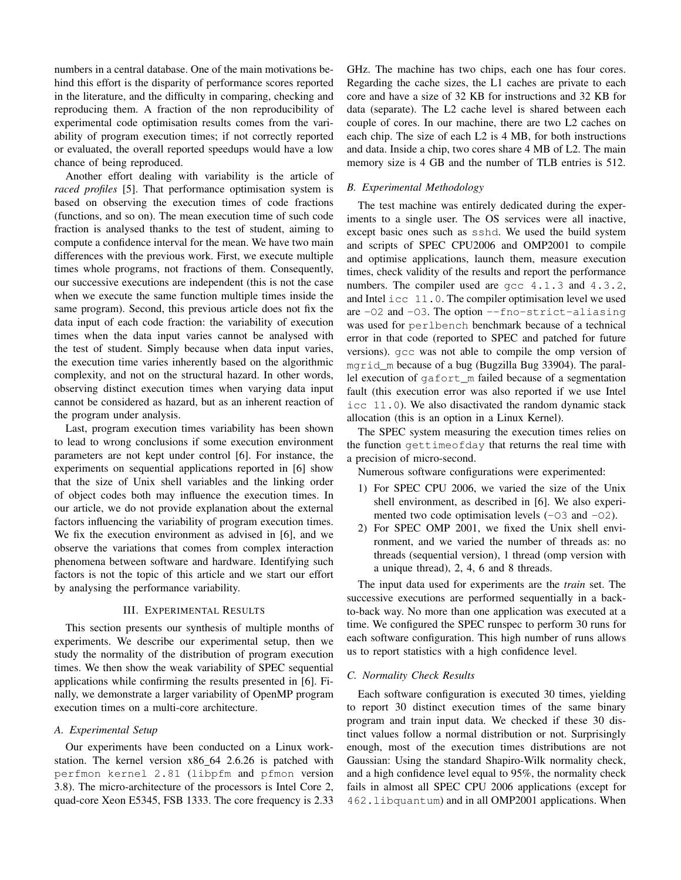numbers in a central database. One of the main motivations behind this effort is the disparity of performance scores reported in the literature, and the difficulty in comparing, checking and reproducing them. A fraction of the non reproducibility of experimental code optimisation results comes from the variability of program execution times; if not correctly reported or evaluated, the overall reported speedups would have a low chance of being reproduced.

Another effort dealing with variability is the article of *raced profiles* [5]. That performance optimisation system is based on observing the execution times of code fractions (functions, and so on). The mean execution time of such code fraction is analysed thanks to the test of student, aiming to compute a confidence interval for the mean. We have two main differences with the previous work. First, we execute multiple times whole programs, not fractions of them. Consequently, our successive executions are independent (this is not the case when we execute the same function multiple times inside the same program). Second, this previous article does not fix the data input of each code fraction: the variability of execution times when the data input varies cannot be analysed with the test of student. Simply because when data input varies, the execution time varies inherently based on the algorithmic complexity, and not on the structural hazard. In other words, observing distinct execution times when varying data input cannot be considered as hazard, but as an inherent reaction of the program under analysis.

Last, program execution times variability has been shown to lead to wrong conclusions if some execution environment parameters are not kept under control [6]. For instance, the experiments on sequential applications reported in [6] show that the size of Unix shell variables and the linking order of object codes both may influence the execution times. In our article, we do not provide explanation about the external factors influencing the variability of program execution times. We fix the execution environment as advised in [6], and we observe the variations that comes from complex interaction phenomena between software and hardware. Identifying such factors is not the topic of this article and we start our effort by analysing the performance variability.

#### III. EXPERIMENTAL RESULTS

This section presents our synthesis of multiple months of experiments. We describe our experimental setup, then we study the normality of the distribution of program execution times. We then show the weak variability of SPEC sequential applications while confirming the results presented in [6]. Finally, we demonstrate a larger variability of OpenMP program execution times on a multi-core architecture.

#### *A. Experimental Setup*

Our experiments have been conducted on a Linux workstation. The kernel version x86 64 2.6.26 is patched with perfmon kernel 2.81 (libpfm and pfmon version 3.8). The micro-architecture of the processors is Intel Core 2, quad-core Xeon E5345, FSB 1333. The core frequency is 2.33 GHz. The machine has two chips, each one has four cores. Regarding the cache sizes, the L1 caches are private to each core and have a size of 32 KB for instructions and 32 KB for data (separate). The L2 cache level is shared between each couple of cores. In our machine, there are two L2 caches on each chip. The size of each L2 is 4 MB, for both instructions and data. Inside a chip, two cores share 4 MB of L2. The main memory size is 4 GB and the number of TLB entries is 512.

#### *B. Experimental Methodology*

The test machine was entirely dedicated during the experiments to a single user. The OS services were all inactive, except basic ones such as sshd. We used the build system and scripts of SPEC CPU2006 and OMP2001 to compile and optimise applications, launch them, measure execution times, check validity of the results and report the performance numbers. The compiler used are gcc 4.1.3 and 4.3.2, and Intel icc 11.0. The compiler optimisation level we used are -O2 and -O3. The option --fno-strict-aliasing was used for perlbench benchmark because of a technical error in that code (reported to SPEC and patched for future versions). gcc was not able to compile the omp version of mgrid\_m because of a bug (Bugzilla Bug 33904). The parallel execution of gafort\_m failed because of a segmentation fault (this execution error was also reported if we use Intel icc 11.0). We also disactivated the random dynamic stack allocation (this is an option in a Linux Kernel).

The SPEC system measuring the execution times relies on the function gettimeofday that returns the real time with a precision of micro-second.

Numerous software configurations were experimented:

- 1) For SPEC CPU 2006, we varied the size of the Unix shell environment, as described in [6]. We also experimented two code optimisation levels  $(-03 \text{ and } -02)$ .
- 2) For SPEC OMP 2001, we fixed the Unix shell environment, and we varied the number of threads as: no threads (sequential version), 1 thread (omp version with a unique thread), 2, 4, 6 and 8 threads.

The input data used for experiments are the *train* set. The successive executions are performed sequentially in a backto-back way. No more than one application was executed at a time. We configured the SPEC runspec to perform 30 runs for each software configuration. This high number of runs allows us to report statistics with a high confidence level.

#### *C. Normality Check Results*

Each software configuration is executed 30 times, yielding to report 30 distinct execution times of the same binary program and train input data. We checked if these 30 distinct values follow a normal distribution or not. Surprisingly enough, most of the execution times distributions are not Gaussian: Using the standard Shapiro-Wilk normality check, and a high confidence level equal to 95%, the normality check fails in almost all SPEC CPU 2006 applications (except for 462.libquantum) and in all OMP2001 applications. When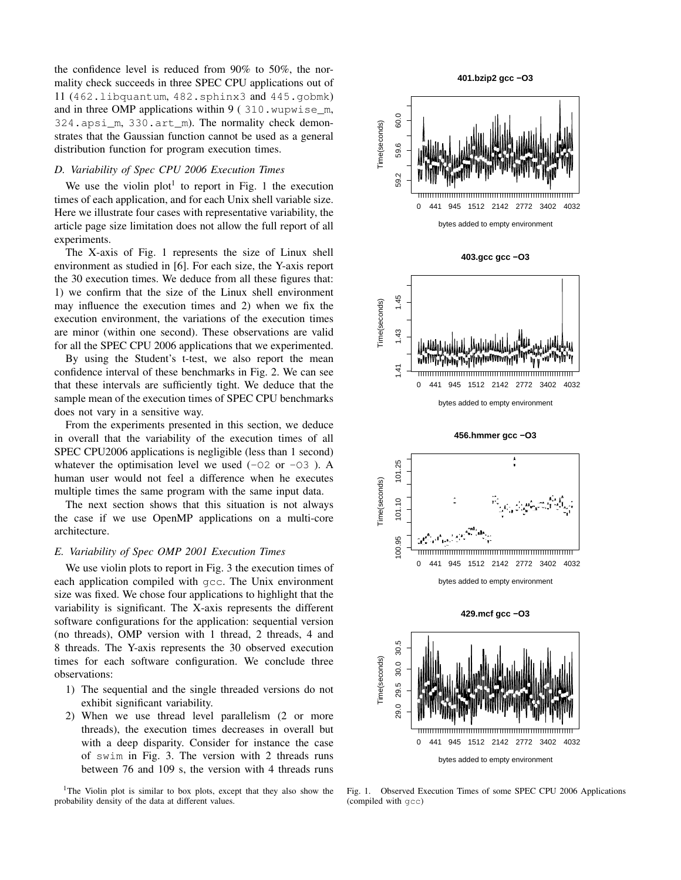the confidence level is reduced from 90% to 50%, the normality check succeeds in three SPEC CPU applications out of 11 (462.libquantum, 482.sphinx3 and 445.gobmk) and in three OMP applications within 9 ( 310.wupwise\_m, 324.apsi\_m, 330.art\_m). The normality check demonstrates that the Gaussian function cannot be used as a general distribution function for program execution times.

#### *D. Variability of Spec CPU 2006 Execution Times*

We use the violin plot<sup>1</sup> to report in Fig. 1 the execution times of each application, and for each Unix shell variable size. Here we illustrate four cases with representative variability, the article page size limitation does not allow the full report of all experiments.

The X-axis of Fig. 1 represents the size of Linux shell environment as studied in [6]. For each size, the Y-axis report the 30 execution times. We deduce from all these figures that: 1) we confirm that the size of the Linux shell environment may influence the execution times and 2) when we fix the execution environment, the variations of the execution times are minor (within one second). These observations are valid for all the SPEC CPU 2006 applications that we experimented.

By using the Student's t-test, we also report the mean confidence interval of these benchmarks in Fig. 2. We can see that these intervals are sufficiently tight. We deduce that the sample mean of the execution times of SPEC CPU benchmarks does not vary in a sensitive way.

From the experiments presented in this section, we deduce in overall that the variability of the execution times of all SPEC CPU2006 applications is negligible (less than 1 second) whatever the optimisation level we used  $(-02 \text{ or } -03)$ . A human user would not feel a difference when he executes multiple times the same program with the same input data.

The next section shows that this situation is not always the case if we use OpenMP applications on a multi-core architecture.

#### *E. Variability of Spec OMP 2001 Execution Times*

We use violin plots to report in Fig. 3 the execution times of each application compiled with gcc. The Unix environment size was fixed. We chose four applications to highlight that the variability is significant. The X-axis represents the different software configurations for the application: sequential version (no threads), OMP version with 1 thread, 2 threads, 4 and 8 threads. The Y-axis represents the 30 observed execution times for each software configuration. We conclude three observations:

- 1) The sequential and the single threaded versions do not exhibit significant variability.
- 2) When we use thread level parallelism (2 or more threads), the execution times decreases in overall but with a deep disparity. Consider for instance the case of swim in Fig. 3. The version with 2 threads runs between 76 and 109 s, the version with 4 threads runs

<sup>1</sup>The Violin plot is similar to box plots, except that they also show the probability density of the data at different values.







**456.hmmer gcc −O3**







Fig. 1. Observed Execution Times of some SPEC CPU 2006 Applications (compiled with gcc)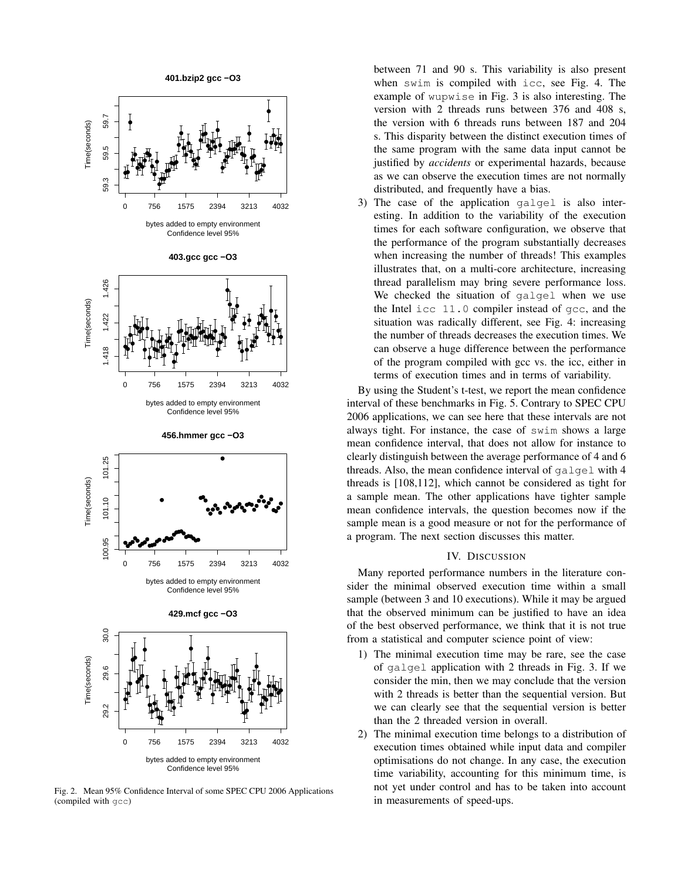

Fig. 2. Mean 95% Confidence Interval of some SPEC CPU 2006 Applications (compiled with gcc)

between 71 and 90 s. This variability is also present when swim is compiled with icc, see Fig. 4. The example of wupwise in Fig. 3 is also interesting. The version with 2 threads runs between 376 and 408 s, the version with 6 threads runs between 187 and 204 s. This disparity between the distinct execution times of the same program with the same data input cannot be justified by *accidents* or experimental hazards, because as we can observe the execution times are not normally distributed, and frequently have a bias.

3) The case of the application galgel is also interesting. In addition to the variability of the execution times for each software configuration, we observe that the performance of the program substantially decreases when increasing the number of threads! This examples illustrates that, on a multi-core architecture, increasing thread parallelism may bring severe performance loss. We checked the situation of galgel when we use the Intel icc 11.0 compiler instead of gcc, and the situation was radically different, see Fig. 4: increasing the number of threads decreases the execution times. We can observe a huge difference between the performance of the program compiled with gcc vs. the icc, either in terms of execution times and in terms of variability.

By using the Student's t-test, we report the mean confidence interval of these benchmarks in Fig. 5. Contrary to SPEC CPU 2006 applications, we can see here that these intervals are not always tight. For instance, the case of swim shows a large mean confidence interval, that does not allow for instance to clearly distinguish between the average performance of 4 and 6 threads. Also, the mean confidence interval of galgel with 4 threads is [108,112], which cannot be considered as tight for a sample mean. The other applications have tighter sample mean confidence intervals, the question becomes now if the sample mean is a good measure or not for the performance of a program. The next section discusses this matter.

#### IV. DISCUSSION

Many reported performance numbers in the literature consider the minimal observed execution time within a small sample (between 3 and 10 executions). While it may be argued that the observed minimum can be justified to have an idea of the best observed performance, we think that it is not true from a statistical and computer science point of view:

- 1) The minimal execution time may be rare, see the case of galgel application with 2 threads in Fig. 3. If we consider the min, then we may conclude that the version with 2 threads is better than the sequential version. But we can clearly see that the sequential version is better than the 2 threaded version in overall.
- 2) The minimal execution time belongs to a distribution of execution times obtained while input data and compiler optimisations do not change. In any case, the execution time variability, accounting for this minimum time, is not yet under control and has to be taken into account in measurements of speed-ups.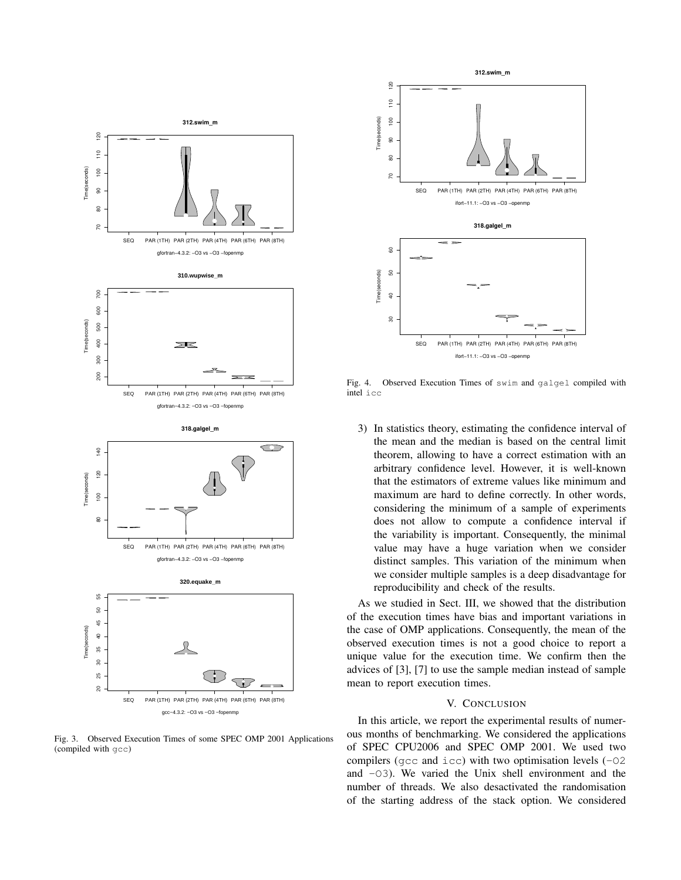

Fig. 3. Observed Execution Times of some SPEC OMP 2001 Applications (compiled with gcc)



Fig. 4. Observed Execution Times of swim and galgel compiled with intel icc

3) In statistics theory, estimating the confidence interval of the mean and the median is based on the central limit theorem, allowing to have a correct estimation with an arbitrary confidence level. However, it is well-known that the estimators of extreme values like minimum and maximum are hard to define correctly. In other words, considering the minimum of a sample of experiments does not allow to compute a confidence interval if the variability is important. Consequently, the minimal value may have a huge variation when we consider distinct samples. This variation of the minimum when we consider multiple samples is a deep disadvantage for reproducibility and check of the results.

As we studied in Sect. III, we showed that the distribution of the execution times have bias and important variations in the case of OMP applications. Consequently, the mean of the observed execution times is not a good choice to report a unique value for the execution time. We confirm then the advices of [3], [7] to use the sample median instead of sample mean to report execution times.

#### V. CONCLUSION

In this article, we report the experimental results of numerous months of benchmarking. We considered the applications of SPEC CPU2006 and SPEC OMP 2001. We used two compilers (gcc and icc) with two optimisation levels (-O2 and  $-03$ ). We varied the Unix shell environment and the number of threads. We also desactivated the randomisation of the starting address of the stack option. We considered